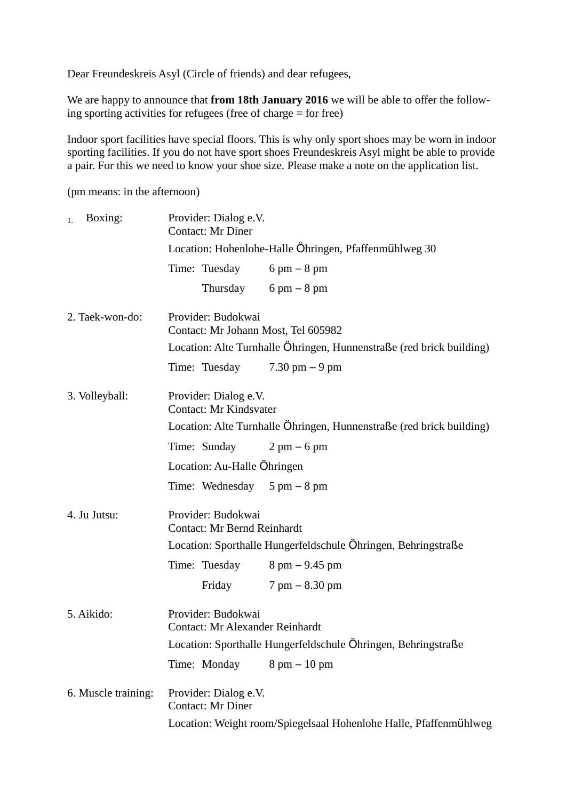Dear Freundeskreis Asyl (Circle of friends) and dear refugees,

We are happy to announce that **from 18th January 2016** we will be able to offer the following sporting activities for refugees (free of charge = for free)

Indoor sport facilities have special floors. This is why only sport shoes may be worn in indoor sporting facilities. If you do not have sport shoes Freundeskreis Asyl might be able to provide a pair. For this we need to know your shoe size. Please make a note on the application list.

(pm means: in the afternoon)

| Boxing:<br>1.       | Provider: Dialog e.V.<br><b>Contact: Mr Diner</b>                    |                                        |  |
|---------------------|----------------------------------------------------------------------|----------------------------------------|--|
|                     | Location: Hohenlohe-Halle Öhringen, Pfaffenmühlweg 30                |                                        |  |
|                     | Time: Tuesday                                                        | $6 \text{ pm} - 8 \text{ pm}$          |  |
|                     |                                                                      | Thursday $6 \text{ pm} - 8 \text{ pm}$ |  |
| 2. Taek-won-do:     | Provider: Budokwai<br>Contact: Mr Johann Most, Tel 605982            |                                        |  |
|                     | Location: Alte Turnhalle Ohringen, Hunnenstraße (red brick building) |                                        |  |
|                     | Time: Tuesday $7.30 \text{ pm} - 9 \text{ pm}$                       |                                        |  |
| 3. Volleyball:      | Provider: Dialog e.V.<br><b>Contact: Mr Kindsvater</b>               |                                        |  |
|                     | Location: Alte Turnhalle Öhringen, Hunnenstraße (red brick building) |                                        |  |
|                     | Time: Sunday                                                         | $2 \text{ pm} - 6 \text{ pm}$          |  |
|                     | Location: Au-Halle Öhringen                                          |                                        |  |
|                     | Time: Wednesday $5 \text{ pm} - 8 \text{ pm}$                        |                                        |  |
| 4. Ju Jutsu:        | Provider: Budokwai<br><b>Contact: Mr Bernd Reinhardt</b>             |                                        |  |
|                     | Location: Sporthalle Hungerfeldschule Ohringen, Behringstraße        |                                        |  |
|                     | Time: Tuesday                                                        | $8 \text{ pm} - 9.45 \text{ pm}$       |  |
|                     | Friday                                                               | $7 \text{ pm} - 8.30 \text{ pm}$       |  |
| 5. Aikido:          | Provider: Budokwai<br><b>Contact: Mr Alexander Reinhardt</b>         |                                        |  |
|                     | Location: Sporthalle Hungerfeldschule Ohringen, Behringstraße        |                                        |  |
|                     | Time: Monday                                                         | $8 \text{ pm} - 10 \text{ pm}$         |  |
| 6. Muscle training: | Provider: Dialog e.V.<br><b>Contact: Mr Diner</b>                    |                                        |  |
|                     | Location: Weight room/Spiegelsaal Hohenlohe Halle, Pfaffenmühlweg    |                                        |  |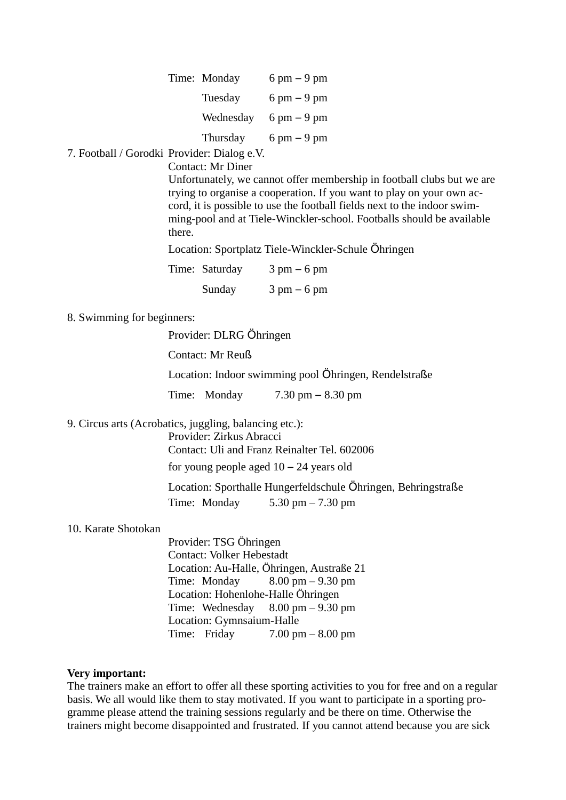| Time: Monday | $6 \text{ pm} - 9 \text{ pm}$ |
|--------------|-------------------------------|
| Tuesday      | $6 \text{ pm} - 9 \text{ pm}$ |
| Wednesday    | $6 \text{ pm} - 9 \text{ pm}$ |
| Thursday     | $6 \text{ pm} - 9 \text{ pm}$ |

7. Football / Gorodki Provider: Dialog e.V.

Contact: Mr Diner

Unfortunately, we cannot offer membership in football clubs but we are trying to organise a cooperation. If you want to play on your own accord, it is possible to use the football fields next to the indoor swimming-pool and at Tiele-Winckler-school. Footballs should be available there.

Location: Sportplatz Tiele-Winckler-Schule Öhringen

| Time: Saturday | $3 \text{ pm} - 6 \text{ pm}$ |
|----------------|-------------------------------|
| Sunday         | $3 \text{ pm} - 6 \text{ pm}$ |

8. Swimming for beginners:

Provider: DLRG Öhringen

Contact: Mr Reuß

Location: Indoor swimming pool Öhringen, Rendelstraße

Time: Monday 7.30 pm – 8.30 pm

9. Circus arts (Acrobatics, juggling, balancing etc.):

Provider: Zirkus Abracci

Contact: Uli and Franz Reinalter Tel. 602006

for young people aged  $10 - 24$  years old

Location: Sporthalle Hungerfeldschule Öhringen, Behringstraße Time: Monday 5.30 pm – 7.30 pm

## 10. Karate Shotokan

Provider: TSG Öhringen Contact: Volker Hebestadt Location: Au-Halle, Öhringen, Austraße 21 Time: Monday  $8.00 \text{ pm} - 9.30 \text{ pm}$ Location: Hohenlohe-Halle Öhringen Time: Wednesday  $8.00 \text{ pm} - 9.30 \text{ pm}$ Location: Gymnsaium-Halle Time: Friday  $7.00 \text{ pm} - 8.00 \text{ pm}$ 

## **Very important:**

The trainers make an effort to offer all these sporting activities to you for free and on a regular basis. We all would like them to stay motivated. If you want to participate in a sporting programme please attend the training sessions regularly and be there on time. Otherwise the trainers might become disappointed and frustrated. If you cannot attend because you are sick